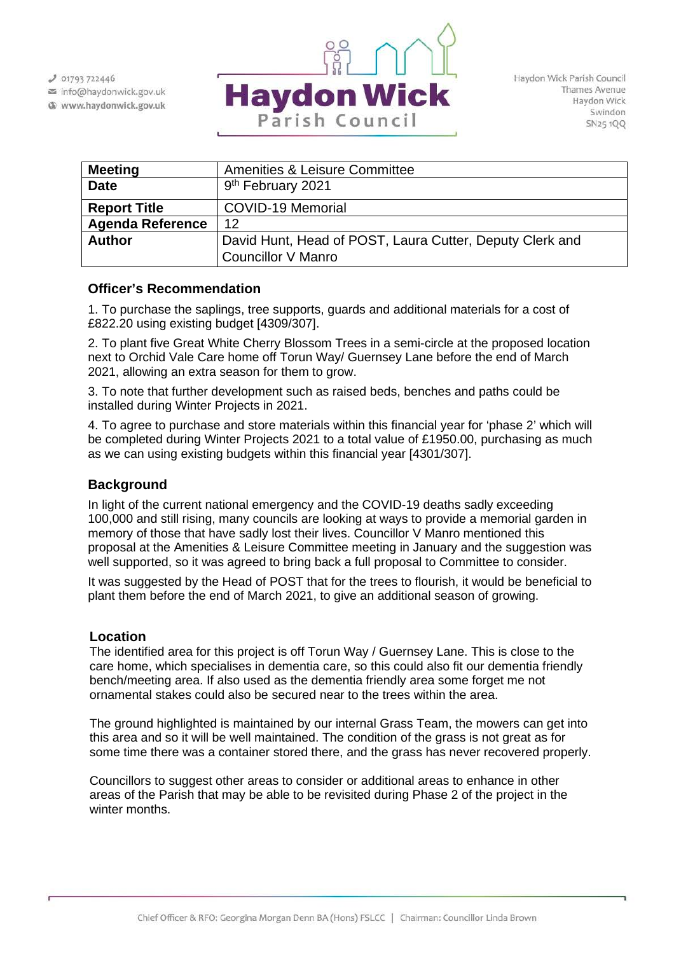$J$  01793 722446

info@haydonwick.gov.uk Www.haydonwick.gov.uk



Haydon Wick Parish Council Thames Avenue Haydon Wick Swindon SN25 1QQ

| <b>Meeting</b>          | <b>Amenities &amp; Leisure Committee</b>                 |
|-------------------------|----------------------------------------------------------|
| <b>Date</b>             | 9 <sup>th</sup> February 2021                            |
| <b>Report Title</b>     | <b>COVID-19 Memorial</b>                                 |
| <b>Agenda Reference</b> | 12                                                       |
| <b>Author</b>           | David Hunt, Head of POST, Laura Cutter, Deputy Clerk and |
|                         | Councillor V Manro                                       |

## **Officer's Recommendation**

1. To purchase the saplings, tree supports, guards and additional materials for a cost of £822.20 using existing budget [4309/307].

2. To plant five Great White Cherry Blossom Trees in a semi-circle at the proposed location next to Orchid Vale Care home off Torun Way/ Guernsey Lane before the end of March 2021, allowing an extra season for them to grow.

3. To note that further development such as raised beds, benches and paths could be installed during Winter Projects in 2021.

4. To agree to purchase and store materials within this financial year for 'phase 2' which will be completed during Winter Projects 2021 to a total value of £1950.00, purchasing as much as we can using existing budgets within this financial year [4301/307].

## **Background**

In light of the current national emergency and the COVID-19 deaths sadly exceeding 100,000 and still rising, many councils are looking at ways to provide a memorial garden in memory of those that have sadly lost their lives. Councillor V Manro mentioned this proposal at the Amenities & Leisure Committee meeting in January and the suggestion was well supported, so it was agreed to bring back a full proposal to Committee to consider.

It was suggested by the Head of POST that for the trees to flourish, it would be beneficial to plant them before the end of March 2021, to give an additional season of growing.

## **Location**

The identified area for this project is off Torun Way / Guernsey Lane. This is close to the care home, which specialises in dementia care, so this could also fit our dementia friendly bench/meeting area. If also used as the dementia friendly area some forget me not ornamental stakes could also be secured near to the trees within the area.

The ground highlighted is maintained by our internal Grass Team, the mowers can get into this area and so it will be well maintained. The condition of the grass is not great as for some time there was a container stored there, and the grass has never recovered properly.

Councillors to suggest other areas to consider or additional areas to enhance in other areas of the Parish that may be able to be revisited during Phase 2 of the project in the winter months.